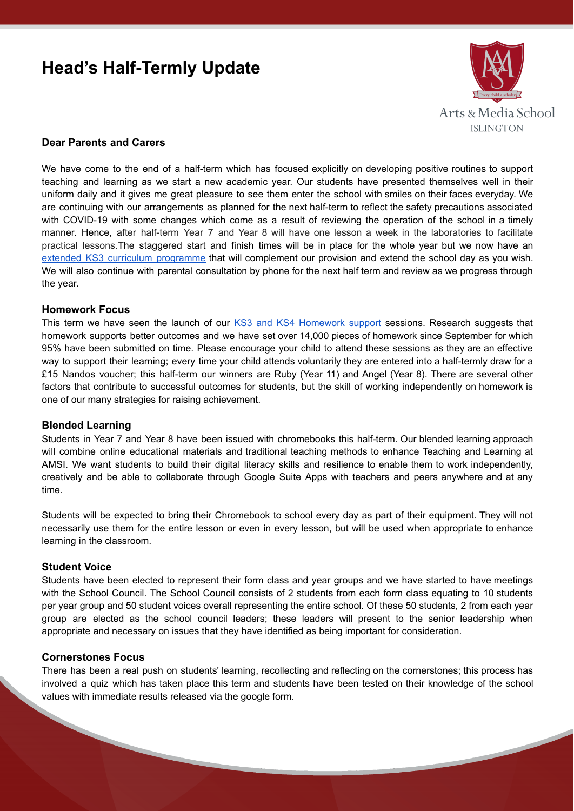# **Head's Half-Termly Update**



# **Dear Parents and Carers**

We have come to the end of a half-term which has focused explicitly on developing positive routines to support teaching and learning as we start a new academic year. Our students have presented themselves well in their uniform daily and it gives me great pleasure to see them enter the school with smiles on their faces everyday. We are continuing with our arrangements as planned for the next half-term to reflect the safety precautions associated with COVID-19 with some changes which come as a result of reviewing the operation of the school in a timely manner. Hence, after half-term Year 7 and Year 8 will have one lesson a week in the laboratories to facilitate practical lessons.The staggered start and finish times will be in place for the whole year but we now have an extended KS3 curriculum [programme](https://www.artsandmedia.islington.sch.uk/academic/extended-school-timetable/) that will complement our provision and extend the school day as you wish. We will also continue with parental consultation by phone for the next half term and review as we progress through the year.

### **Homework Focus**

This term we have seen the launch of our KS3 and KS4 [Homework](https://www.artsandmedia.islington.sch.uk/ks4-prep-homework-support-the-library/) support sessions. Research suggests that homework supports better outcomes and we have set over 14,000 pieces of homework since September for which 95% have been submitted on time. Please encourage your child to attend these sessions as they are an effective way to support their learning; every time your child attends voluntarily they are entered into a half-termly draw for a £15 Nandos voucher; this half-term our winners are Ruby (Year 11) and Angel (Year 8). There are several other factors that contribute to successful outcomes for students, but the skill of working independently on homework is one of our many strategies for raising achievement.

#### **Blended Learning**

Students in Year 7 and Year 8 have been issued with chromebooks this half-term. Our blended learning approach will combine online educational materials and traditional teaching methods to enhance Teaching and Learning at AMSI. We want students to build their digital literacy skills and resilience to enable them to work independently, creatively and be able to collaborate through Google Suite Apps with teachers and peers anywhere and at any time.

Students will be expected to bring their Chromebook to school every day as part of their equipment. They will not necessarily use them for the entire lesson or even in every lesson, but will be used when appropriate to enhance learning in the classroom.

### **Student Voice**

Students have been elected to represent their form class and year groups and we have started to have meetings with the School Council. The School Council consists of 2 students from each form class equating to 10 students per year group and 50 student voices overall representing the entire school. Of these 50 students, 2 from each year group are elected as the school council leaders; these leaders will present to the senior leadership when appropriate and necessary on issues that they have identified as being important for consideration.

### **Cornerstones Focus**

There has been a real push on students' learning, recollecting and reflecting on the cornerstones; this process has involved a quiz which has taken place this term and students have been tested on their knowledge of the school values with immediate results released via the google form.